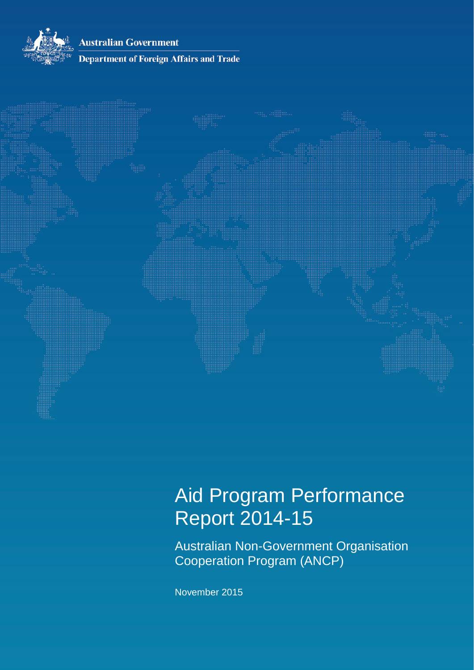**Australian Government** 



### **Department of Foreign Affairs and Trade**



# Aid Program Performance Report 2014-15

Australian Non-Government Organisation Cooperation Program (ANCP)

November 2015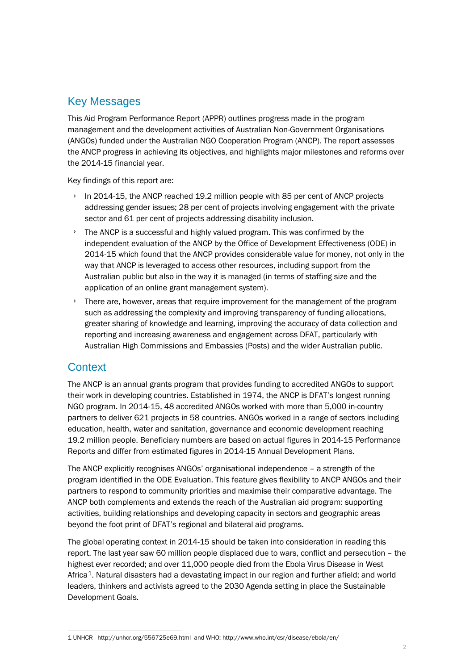### Key Messages

This Aid Program Performance Report (APPR) outlines progress made in the program management and the development activities of Australian Non-Government Organisations (ANGOs) funded under the Australian NGO Cooperation Program (ANCP). The report assesses the ANCP progress in achieving its objectives, and highlights major milestones and reforms over the 2014-15 financial year.

Key findings of this report are:

- $\rightarrow$  In 2014-15, the ANCP reached 19.2 million people with 85 per cent of ANCP projects addressing gender issues; 28 per cent of projects involving engagement with the private sector and 61 per cent of projects addressing disability inclusion.
- The ANCP is a successful and highly valued program. This was confirmed by the independent evaluation of the ANCP by the Office of Development Effectiveness (ODE) in 2014-15 which found that the ANCP provides considerable value for money, not only in the way that ANCP is leveraged to access other resources, including support from the Australian public but also in the way it is managed (in terms of staffing size and the application of an online grant management system).
- › There are, however, areas that require improvement for the management of the program such as addressing the complexity and improving transparency of funding allocations, greater sharing of knowledge and learning, improving the accuracy of data collection and reporting and increasing awareness and engagement across DFAT, particularly with Australian High Commissions and Embassies (Posts) and the wider Australian public.

### **Context**

The ANCP is an annual grants program that provides funding to accredited ANGOs to support their work in developing countries. Established in 1974, the ANCP is DFAT's longest running NGO program. In 2014-15, 48 accredited ANGOs worked with more than 5,000 in-country partners to deliver 621 projects in 58 countries. ANGOs worked in a range of sectors including education, health, water and sanitation, governance and economic development reaching 19.2 million people. Beneficiary numbers are based on actual figures in 2014-15 Performance Reports and differ from estimated figures in 2014-15 Annual Development Plans.

The ANCP explicitly recognises ANGOs' organisational independence – a strength of the program identified in the ODE Evaluation. This feature gives flexibility to ANCP ANGOs and their partners to respond to community priorities and maximise their comparative advantage. The ANCP both complements and extends the reach of the Australian aid program: supporting activities, building relationships and developing capacity in sectors and geographic areas beyond the foot print of DFAT's regional and bilateral aid programs.

The global operating context in 2014-15 should be taken into consideration in reading this report. The last year saw 60 million people displaced due to wars, conflict and persecution – the highest ever recorded; and over 11,000 people died from the Ebola Virus Disease in West Africa[1](#page-1-0). Natural disasters had a devastating impact in our region and further afield; and world leaders, thinkers and activists agreed to the 2030 Agenda setting in place the Sustainable Development Goals.

<span id="page-1-0"></span><sup>-</sup>1 UNHCR - [http://unhcr.org/556725e69.html](http://unhcr.org/556725e69.html#_ga=1.55247595.13614127.1447131754) and WHO[: http://www.who.int/csr/disease/ebola/en/](http://www.who.int/csr/disease/ebola/en/)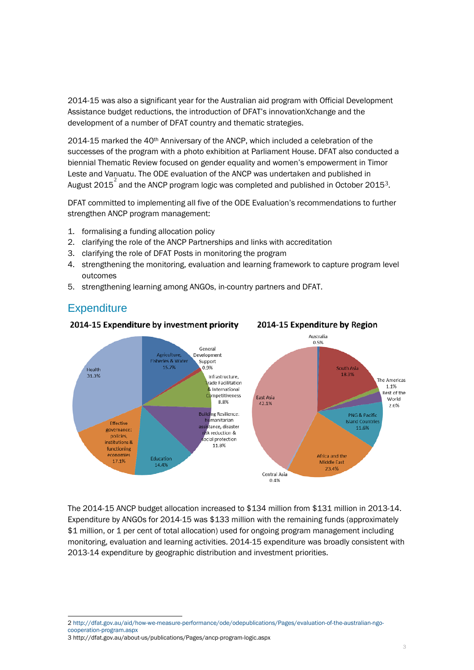2014-15 was also a significant year for the Australian aid program with Official Development Assistance budget reductions, the introduction of DFAT's innovationXchange and the development of a number of DFAT country and thematic strategies.

2014-15 marked the 40th Anniversary of the ANCP, which included a celebration of the successes of the program with a photo exhibition at Parliament House. DFAT also conducted a biennial Thematic Review focused on gender equality and women's empowerment in Timor Leste and Vanuatu. The ODE evaluation of the ANCP was undertaken and published in August [2](#page-2-0)015 $^{\rm 2}$  and the ANCP program logic was completed and published in October 2015 $^{\rm 3}$  $^{\rm 3}$  $^{\rm 3}$ .

DFAT committed to implementing all five of the ODE Evaluation's recommendations to further strengthen ANCP program management:

- 1. formalising a funding allocation policy
- 2. clarifying the role of the ANCP Partnerships and links with accreditation
- 3. clarifying the role of DFAT Posts in monitoring the program
- 4. strengthening the monitoring, evaluation and learning framework to capture program level outcomes

2014-15 Expenditure by Region

5. strengthening learning among ANGOs, in-country partners and DFAT.

### **Expenditure**

-



#### 2014-15 Expenditure by investment priority

# The 2014-15 ANCP budget allocation increased to \$134 million from \$131 million in 2013-14. Expenditure by ANGOs for 2014-15 was \$133 million with the remaining funds (approximately \$1 million, or 1 per cent of total allocation) used for ongoing program management including

monitoring, evaluation and learning activities. 2014-15 expenditure was broadly consistent with 2013-14 expenditure by geographic distribution and investment priorities.

<span id="page-2-0"></span>2 [http://dfat.gov.au/aid/how-we-measure-performance/ode/odepublications/Pages/evaluation-of-the-australian-ngo](http://dfat.gov.au/aid/how-we-measure-performance/ode/odepublications/Pages/evaluation-of-the-australian-ngo-cooperation-program.aspx)[cooperation-program.aspx](http://dfat.gov.au/aid/how-we-measure-performance/ode/odepublications/Pages/evaluation-of-the-australian-ngo-cooperation-program.aspx)

<span id="page-2-1"></span><sup>3</sup> <http://dfat.gov.au/about-us/publications/Pages/ancp-program-logic.aspx>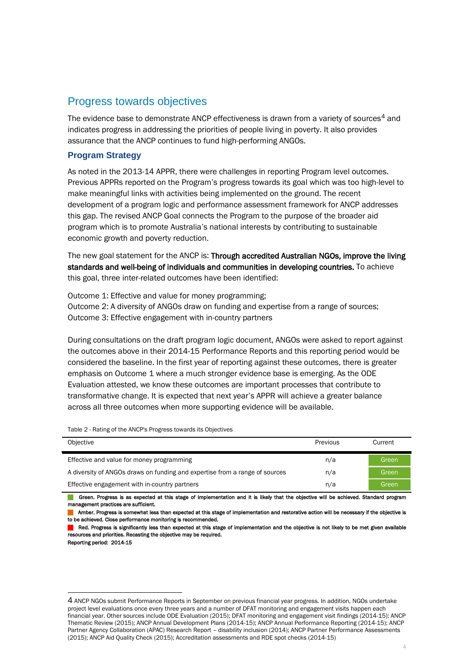### Progress towards objectives

The evidence base to demonstrate ANCP effectiveness is drawn from a variety of sources<sup>[4](#page-3-0)</sup> and indicates progress in addressing the priorities of people living in poverty. It also provides assurance that the ANCP continues to fund high-performing ANGOs.

### **Program Strategy**

As noted in the 2013-14 APPR, there were challenges in reporting Program level outcomes. Previous APPRs reported on the Program's progress towards its goal which was too high-level to make meaningful links with activities being implemented on the ground. The recent development of a program logic and performance assessment framework for ANCP addresses this gap. The revised ANCP Goal connects the Program to the purpose of the broader aid program which is to promote Australia's national interests by contributing to sustainable economic growth and poverty reduction.

The new goal statement for the ANCP is: Through accredited Australian NGOs, improve the living standards and well-being of individuals and communities in developing countries. To achieve this goal, three inter-related outcomes have been identified:

Outcome 1: Effective and value for money programming; Outcome 2: A diversity of ANGOs draw on funding and expertise from a range of sources;

Outcome 3: Effective engagement with in-country partners

During consultations on the draft program logic document, ANGOs were asked to report against the outcomes above in their 2014-15 Performance Reports and this reporting period would be considered the baseline. In the first year of reporting against these outcomes, there is greater emphasis on Outcome 1 where a much stronger evidence base is emerging. As the ODE Evaluation attested, we know these outcomes are important processes that contribute to transformative change. It is expected that next year's APPR will achieve a greater balance across all three outcomes when more supporting evidence will be available.

Table 2 - Rating of the ANCP's Progress towards its Objectives

| Objective                                                                   | Previous | Current |
|-----------------------------------------------------------------------------|----------|---------|
| Effective and value for money programming                                   | n/a      | Green   |
| A diversity of ANGOs draws on funding and expertise from a range of sources | n/a      | Green   |
| Effective engagement with in-country partners                               | n/a      | Green   |

Green. Progress is as expected at this stage of implementation and it is likely that the objective will be achieved. Standard program management practices are sufficient.

Amber. Progress is somewhat less than expected at this stage of implementation and restorative action will be necessary if the objective is to be achieved. Close performance monitoring is recommended.

Red. Progress is significantly less than expected at this stage of implementation and the objective is not likely to be met given available resources and priorities. Recasting the objective may be required.

Reporting period: 2014-15

-

<span id="page-3-0"></span><sup>4</sup> ANCP NGOs submit Performance Reports in September on previous financial year progress. In addition, NGOs undertake project level evaluations once every three years and a number of DFAT monitoring and engagement visits happen each financial year. Other sources include ODE Evaluation (2015); DFAT monitoring and engagement visit findings (2014-15); ANCP Thematic Review (2015); ANCP Annual Development Plans (2014-15); ANCP Annual Performance Reporting (2014-15); ANCP Partner Agency Collaboration (APAC) Research Report – disability inclusion (2014); ANCP Partner Performance Assessments (2015); ANCP Aid Quality Check (2015); Accreditation assessments and RDE spot checks (2014-15)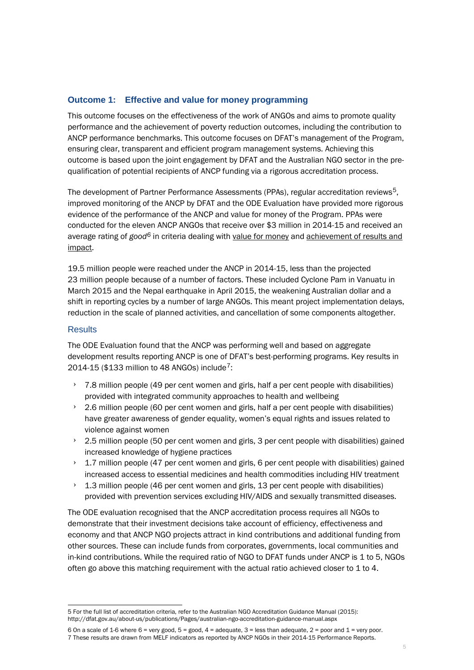### **Outcome 1: Effective and value for money programming**

This outcome focuses on the effectiveness of the work of ANGOs and aims to promote quality performance and the achievement of poverty reduction outcomes, including the contribution to ANCP performance benchmarks. This outcome focuses on DFAT's management of the Program, ensuring clear, transparent and efficient program management systems. Achieving this outcome is based upon the joint engagement by DFAT and the Australian NGO sector in the prequalification of potential recipients of ANCP funding via a rigorous accreditation process.

The development of Partner Performance Assessments (PPAs), regular accreditation reviews<sup>[5](#page-4-0)</sup>, improved monitoring of the ANCP by DFAT and the ODE Evaluation have provided more rigorous evidence of the performance of the ANCP and value for money of the Program. PPAs were conducted for the eleven ANCP ANGOs that receive over \$3 million in 2014-15 and received an average rating of *good[6](#page-4-1)* in criteria dealing with value for money and achievement of results and impact.

19.5 million people were reached under the ANCP in 2014-15, less than the projected 23 million people because of a number of factors. These included Cyclone Pam in Vanuatu in March 2015 and the Nepal earthquake in April 2015, the weakening Australian dollar and a shift in reporting cycles by a number of large ANGOs. This meant project implementation delays, reduction in the scale of planned activities, and cancellation of some components altogether.

### **Results**

The ODE Evaluation found that the ANCP was performing well and based on aggregate development results reporting ANCP is one of DFAT's best-performing programs. Key results in 2014-15 (\$133 million to 48 ANGOs) include<sup>7</sup>:

- $\rightarrow$  7.8 million people (49 per cent women and girls, half a per cent people with disabilities) provided with integrated community approaches to health and wellbeing
- $\rightarrow$  2.6 million people (60 per cent women and girls, half a per cent people with disabilities) have greater awareness of gender equality, women's equal rights and issues related to violence against women
- $\rightarrow$  2.5 million people (50 per cent women and girls, 3 per cent people with disabilities) gained increased knowledge of hygiene practices
- 1.7 million people (47 per cent women and girls, 6 per cent people with disabilities) gained increased access to essential medicines and health commodities including HIV treatment
- 1.3 million people (46 per cent women and girls, 13 per cent people with disabilities) provided with prevention services excluding HIV/AIDS and sexually transmitted diseases.

The ODE evaluation recognised that the ANCP accreditation process requires all NGOs to demonstrate that their investment decisions take account of efficiency, effectiveness and economy and that ANCP NGO projects attract in kind contributions and additional funding from other sources. These can include funds from corporates, governments, local communities and in-kind contributions. While the required ratio of NGO to DFAT funds under ANCP is 1 to 5, NGOs often go above this matching requirement with the actual ratio achieved closer to 1 to 4.

<span id="page-4-0"></span><sup>-</sup>5 For the full list of accreditation criteria, refer to the Australian NGO Accreditation Guidance Manual (2015): <http://dfat.gov.au/about-us/publications/Pages/australian-ngo-accreditation-guidance-manual.aspx>

<span id="page-4-2"></span><span id="page-4-1"></span><sup>6</sup> On a scale of 1-6 where 6 = very good, 5 = good, 4 = adequate, 3 = less than adequate, 2 = poor and 1 = very poor. 7 These results are drawn from MELF indicators as reported by ANCP NGOs in their 2014-15 Performance Reports.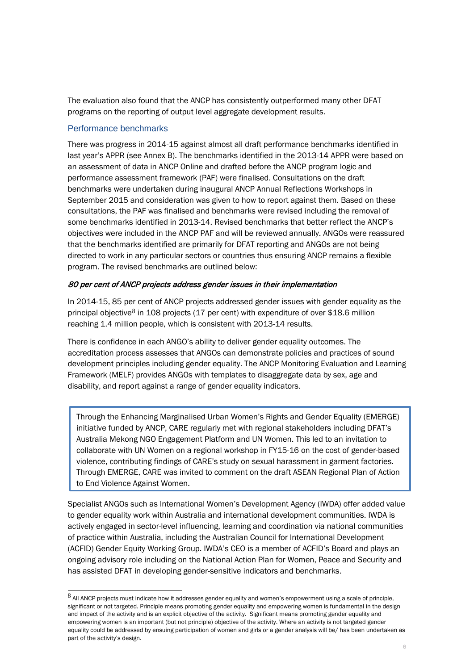The evaluation also found that the ANCP has consistently outperformed many other DFAT programs on the reporting of output level aggregate development results.

### Performance benchmarks

There was progress in 2014-15 against almost all draft performance benchmarks identified in last year's APPR (see Annex B). The benchmarks identified in the 2013-14 APPR were based on an assessment of data in ANCP Online and drafted before the ANCP program logic and performance assessment framework (PAF) were finalised. Consultations on the draft benchmarks were undertaken during inaugural ANCP Annual Reflections Workshops in September 2015 and consideration was given to how to report against them. Based on these consultations, the PAF was finalised and benchmarks were revised including the removal of some benchmarks identified in 2013-14. Revised benchmarks that better reflect the ANCP's objectives were included in the ANCP PAF and will be reviewed annually. ANGOs were reassured that the benchmarks identified are primarily for DFAT reporting and ANGOs are not being directed to work in any particular sectors or countries thus ensuring ANCP remains a flexible program. The revised benchmarks are outlined below:

### 80 per cent of ANCP projects address gender issues in their implementation

In 2014-15, 85 per cent of ANCP projects addressed gender issues with gender equality as the principal objective<sup>[8](#page-5-0)</sup> in 108 projects (17 per cent) with expenditure of over \$18.6 million reaching 1.4 million people, which is consistent with 2013-14 results.

There is confidence in each ANGO's ability to deliver gender equality outcomes. The accreditation process assesses that ANGOs can demonstrate policies and practices of sound development principles including gender equality. The ANCP Monitoring Evaluation and Learning Framework (MELF) provides ANGOs with templates to disaggregate data by sex, age and disability, and report against a range of gender equality indicators.

Through the Enhancing Marginalised Urban Women's Rights and Gender Equality (EMERGE) initiative funded by ANCP, CARE regularly met with regional stakeholders including DFAT's Australia Mekong NGO Engagement Platform and UN Women. This led to an invitation to collaborate with UN Women on a regional workshop in FY15-16 on the cost of gender-based violence, contributing findings of CARE's study on sexual harassment in garment factories. Through EMERGE, CARE was invited to comment on the draft ASEAN Regional Plan of Action to End Violence Against Women.

Specialist ANGOs such as International Women's Development Agency (IWDA) offer added value to gender equality work within Australia and international development communities. IWDA is actively engaged in sector-level influencing, learning and coordination via national communities of practice within Australia, including the Australian Council for International Development (ACFID) Gender Equity Working Group. IWDA's CEO is a member of ACFID's Board and plays an ongoing advisory role including on the National Action Plan for Women, Peace and Security and has assisted DFAT in developing gender-sensitive indicators and benchmarks.

<span id="page-5-0"></span><sup>8</sup> All ANCP projects must indicate how it addresses gender equality and women's empowerment using a scale of principle, significant or not targeted. Principle means promoting gender equality and empowering women is fundamental in the design and impact of the activity and is an explicit objective of the activity. Significant means promoting gender equality and empowering women is an important (but not principle) objective of the activity. Where an activity is not targeted gender equality could be addressed by ensuing participation of women and girls or a gender analysis will be/ has been undertaken as part of the activity's design.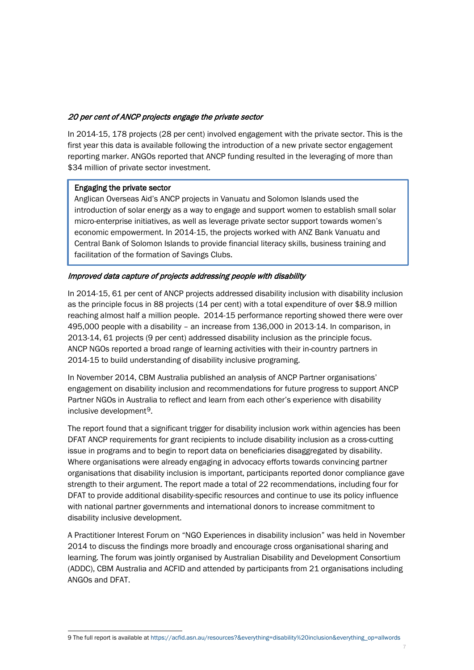### 20 per cent of ANCP projects engage the private sector

In 2014-15, 178 projects (28 per cent) involved engagement with the private sector. This is the first year this data is available following the introduction of a new private sector engagement reporting marker. ANGOs reported that ANCP funding resulted in the leveraging of more than \$34 million of private sector investment.

### Engaging the private sector

Anglican Overseas Aid's ANCP projects in Vanuatu and Solomon Islands used the introduction of solar energy as a way to engage and support women to establish small solar micro-enterprise initiatives, as well as leverage private sector support towards women's economic empowerment. In 2014-15, the projects worked with ANZ Bank Vanuatu and Central Bank of Solomon Islands to provide financial literacy skills, business training and facilitation of the formation of Savings Clubs.

### Improved data capture of projects addressing people with disability

In 2014-15, 61 per cent of ANCP projects addressed disability inclusion with disability inclusion as the principle focus in 88 projects (14 per cent) with a total expenditure of over \$8.9 million reaching almost half a million people. 2014-15 performance reporting showed there were over 495,000 people with a disability – an increase from 136,000 in 2013-14. In comparison, in 2013-14, 61 projects (9 per cent) addressed disability inclusion as the principle focus. ANCP NGOs reported a broad range of learning activities with their in-country partners in 2014-15 to build understanding of disability inclusive programing.

In November 2014, CBM Australia published an analysis of ANCP Partner organisations' engagement on disability inclusion and recommendations for future progress to support ANCP Partner NGOs in Australia to reflect and learn from each other's experience with disability inclusive development[9](#page-6-0).

The report found that a significant trigger for disability inclusion work within agencies has been DFAT ANCP requirements for grant recipients to include disability inclusion as a cross-cutting issue in programs and to begin to report data on beneficiaries disaggregated by disability. Where organisations were already engaging in advocacy efforts towards convincing partner organisations that disability inclusion is important, participants reported donor compliance gave strength to their argument. The report made a total of 22 recommendations, including four for DFAT to provide additional disability-specific resources and continue to use its policy influence with national partner governments and international donors to increase commitment to disability inclusive development.

A Practitioner Interest Forum on "NGO Experiences in disability inclusion" was held in November 2014 to discuss the findings more broadly and encourage cross organisational sharing and learning. The forum was jointly organised by Australian Disability and Development Consortium (ADDC), CBM Australia and ACFID and attended by participants from 21 organisations including ANGOs and DFAT.

<span id="page-6-0"></span>-9 The full report is available a[t https://acfid.asn.au/resources?&everything=disability%20inclusion&everything\\_op=allwords](https://acfid.asn.au/resources?&everything=disability%20inclusion&everything_op=allwords%20)

7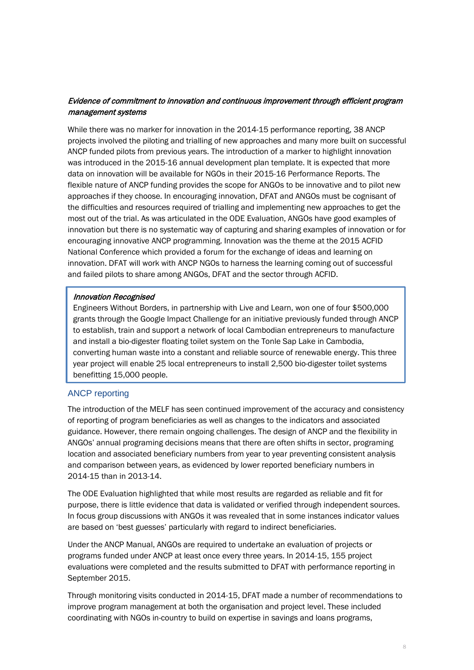### Evidence of commitment to innovation and continuous improvement through efficient program management systems

While there was no marker for innovation in the 2014-15 performance reporting, 38 ANCP projects involved the piloting and trialling of new approaches and many more built on successful ANCP funded pilots from previous years. The introduction of a marker to highlight innovation was introduced in the 2015-16 annual development plan template. It is expected that more data on innovation will be available for NGOs in their 2015-16 Performance Reports. The flexible nature of ANCP funding provides the scope for ANGOs to be innovative and to pilot new approaches if they choose. In encouraging innovation, DFAT and ANGOs must be cognisant of the difficulties and resources required of trialling and implementing new approaches to get the most out of the trial. As was articulated in the ODE Evaluation, ANGOs have good examples of innovation but there is no systematic way of capturing and sharing examples of innovation or for encouraging innovative ANCP programming. Innovation was the theme at the 2015 ACFID National Conference which provided a forum for the exchange of ideas and learning on innovation. DFAT will work with ANCP NGOs to harness the learning coming out of successful and failed pilots to share among ANGOs, DFAT and the sector through ACFID.

### Innovation Recognised

Engineers Without Borders, in partnership with Live and Learn, won one of four \$500,000 grants through the Google Impact Challenge for an initiative previously funded through ANCP to establish, train and support a network of local Cambodian entrepreneurs to manufacture and install a bio-digester floating toilet system on the Tonle Sap Lake in Cambodia, converting human waste into a constant and reliable source of renewable energy. This three year project will enable 25 local entrepreneurs to install 2,500 bio-digester toilet systems benefitting 15,000 people.

### ANCP reporting

The introduction of the MELF has seen continued improvement of the accuracy and consistency of reporting of program beneficiaries as well as changes to the indicators and associated guidance. However, there remain ongoing challenges. The design of ANCP and the flexibility in ANGOs' annual programing decisions means that there are often shifts in sector, programing location and associated beneficiary numbers from year to year preventing consistent analysis and comparison between years, as evidenced by lower reported beneficiary numbers in 2014-15 than in 2013-14.

The ODE Evaluation highlighted that while most results are regarded as reliable and fit for purpose, there is little evidence that data is validated or verified through independent sources. In focus group discussions with ANGOs it was revealed that in some instances indicator values are based on 'best guesses' particularly with regard to indirect beneficiaries.

Under the ANCP Manual, ANGOs are required to undertake an evaluation of projects or programs funded under ANCP at least once every three years. In 2014-15, 155 project evaluations were completed and the results submitted to DFAT with performance reporting in September 2015.

Through monitoring visits conducted in 2014-15, DFAT made a number of recommendations to improve program management at both the organisation and project level. These included coordinating with NGOs in-country to build on expertise in savings and loans programs,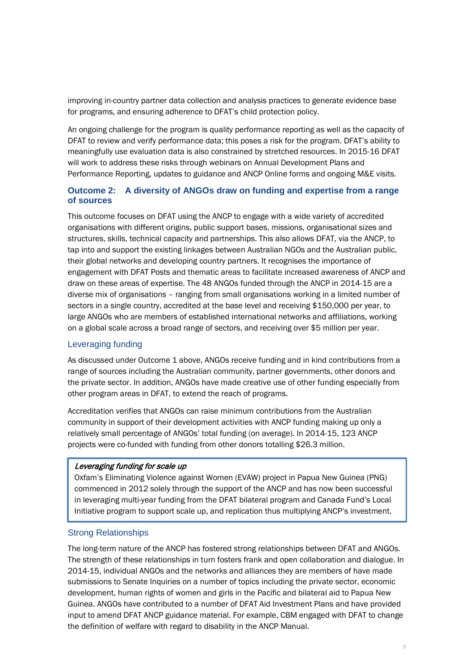improving in-country partner data collection and analysis practices to generate evidence base for programs, and ensuring adherence to DFAT's child protection policy.

An ongoing challenge for the program is quality performance reporting as well as the capacity of DFAT to review and verify performance data; this poses a risk for the program. DFAT's ability to meaningfully use evaluation data is also constrained by stretched resources. In 2015-16 DFAT will work to address these risks through webinars on Annual Development Plans and Performance Reporting, updates to guidance and ANCP Online forms and ongoing M&E visits.

### **Outcome 2: A diversity of ANGOs draw on funding and expertise from a range of sources**

This outcome focuses on DFAT using the ANCP to engage with a wide variety of accredited organisations with different origins, public support bases, missions, organisational sizes and structures, skills, technical capacity and partnerships. This also allows DFAT, via the ANCP, to tap into and support the existing linkages between Australian NGOs and the Australian public, their global networks and developing country partners. It recognises the importance of engagement with DFAT Posts and thematic areas to facilitate increased awareness of ANCP and draw on these areas of expertise. The 48 ANGOs funded through the ANCP in 2014-15 are a diverse mix of organisations – ranging from small organisations working in a limited number of sectors in a single country, accredited at the base level and receiving \$150,000 per year, to large ANGOs who are members of established international networks and affiliations, working on a global scale across a broad range of sectors, and receiving over \$5 million per year.

### Leveraging funding

As discussed under Outcome 1 above, ANGOs receive funding and in kind contributions from a range of sources including the Australian community, partner governments, other donors and the private sector. In addition, ANGOs have made creative use of other funding especially from other program areas in DFAT, to extend the reach of programs.

Accreditation verifies that ANGOs can raise minimum contributions from the Australian community in support of their development activities with ANCP funding making up only a relatively small percentage of ANGOs' total funding (on average). In 2014-15, 123 ANCP projects were co-funded with funding from other donors totalling \$26.3 million.

### Leveraging funding for scale up

Oxfam's Eliminating Violence against Women (EVAW) project in Papua New Guinea (PNG) commenced in 2012 solely through the support of the ANCP and has now been successful in leveraging multi-year funding from the DFAT bilateral program and Canada Fund's Local Initiative program to support scale up, and replication thus multiplying ANCP's investment.

### Strong Relationships

The long-term nature of the ANCP has fostered strong relationships between DFAT and ANGOs. The strength of these relationships in turn fosters frank and open collaboration and dialogue. In 2014-15, individual ANGOs and the networks and alliances they are members of have made submissions to Senate Inquiries on a number of topics including the private sector, economic development, human rights of women and girls in the Pacific and bilateral aid to Papua New Guinea. ANGOs have contributed to a number of DFAT Aid Investment Plans and have provided input to amend DFAT ANCP guidance material. For example, CBM engaged with DFAT to change the definition of welfare with regard to disability in the ANCP Manual.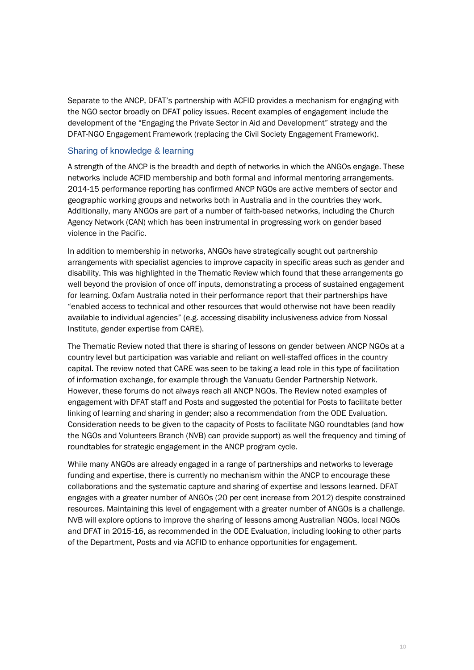Separate to the ANCP, DFAT's partnership with ACFID provides a mechanism for engaging with the NGO sector broadly on DFAT policy issues. Recent examples of engagement include the development of the "Engaging the Private Sector in Aid and Development" strategy and the DFAT-NGO Engagement Framework (replacing the Civil Society Engagement Framework).

### Sharing of knowledge & learning

A strength of the ANCP is the breadth and depth of networks in which the ANGOs engage. These networks include ACFID membership and both formal and informal mentoring arrangements. 2014-15 performance reporting has confirmed ANCP NGOs are active members of sector and geographic working groups and networks both in Australia and in the countries they work. Additionally, many ANGOs are part of a number of faith-based networks, including the Church Agency Network (CAN) which has been instrumental in progressing work on gender based violence in the Pacific.

In addition to membership in networks, ANGOs have strategically sought out partnership arrangements with specialist agencies to improve capacity in specific areas such as gender and disability. This was highlighted in the Thematic Review which found that these arrangements go well beyond the provision of once off inputs, demonstrating a process of sustained engagement for learning. Oxfam Australia noted in their performance report that their partnerships have "enabled access to technical and other resources that would otherwise not have been readily available to individual agencies" (e.g. accessing disability inclusiveness advice from Nossal Institute, gender expertise from CARE).

The Thematic Review noted that there is sharing of lessons on gender between ANCP NGOs at a country level but participation was variable and reliant on well-staffed offices in the country capital. The review noted that CARE was seen to be taking a lead role in this type of facilitation of information exchange, for example through the Vanuatu Gender Partnership Network. However, these forums do not always reach all ANCP NGOs. The Review noted examples of engagement with DFAT staff and Posts and suggested the potential for Posts to facilitate better linking of learning and sharing in gender; also a recommendation from the ODE Evaluation. Consideration needs to be given to the capacity of Posts to facilitate NGO roundtables (and how the NGOs and Volunteers Branch (NVB) can provide support) as well the frequency and timing of roundtables for strategic engagement in the ANCP program cycle.

While many ANGOs are already engaged in a range of partnerships and networks to leverage funding and expertise, there is currently no mechanism within the ANCP to encourage these collaborations and the systematic capture and sharing of expertise and lessons learned. DFAT engages with a greater number of ANGOs (20 per cent increase from 2012) despite constrained resources. Maintaining this level of engagement with a greater number of ANGOs is a challenge. NVB will explore options to improve the sharing of lessons among Australian NGOs, local NGOs and DFAT in 2015-16, as recommended in the ODE Evaluation, including looking to other parts of the Department, Posts and via ACFID to enhance opportunities for engagement.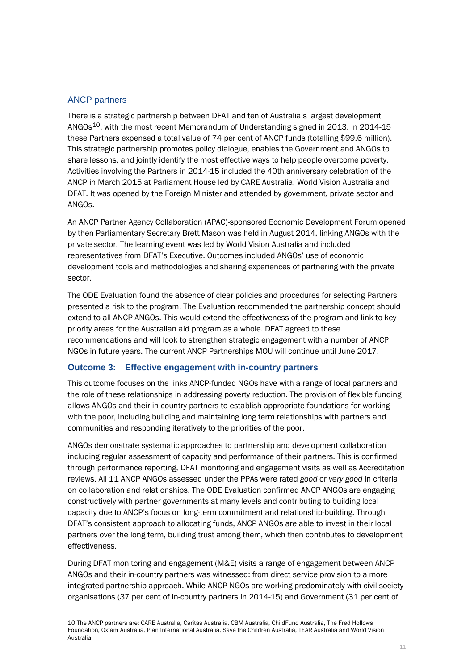### ANCP partners

There is a strategic partnership between DFAT and ten of Australia's largest development ANGOs<sup>10</sup>, with the most recent Memorandum of Understanding signed in 2013. In 2014-15 these Partners expensed a total value of 74 per cent of ANCP funds (totalling \$99.6 million). This strategic partnership promotes policy dialogue, enables the Government and ANGOs to share lessons, and jointly identify the most effective ways to help people overcome poverty. Activities involving the Partners in 2014-15 included the 40th anniversary celebration of the ANCP in March 2015 at Parliament House led by CARE Australia, World Vision Australia and DFAT. It was opened by the Foreign Minister and attended by government, private sector and ANGOs.

An ANCP Partner Agency Collaboration (APAC)-sponsored Economic Development Forum opened by then Parliamentary Secretary Brett Mason was held in August 2014, linking ANGOs with the private sector. The learning event was led by World Vision Australia and included representatives from DFAT's Executive. Outcomes included ANGOs' use of economic development tools and methodologies and sharing experiences of partnering with the private sector.

The ODE Evaluation found the absence of clear policies and procedures for selecting Partners presented a risk to the program. The Evaluation recommended the partnership concept should extend to all ANCP ANGOs. This would extend the effectiveness of the program and link to key priority areas for the Australian aid program as a whole. DFAT agreed to these recommendations and will look to strengthen strategic engagement with a number of ANCP NGOs in future years. The current ANCP Partnerships MOU will continue until June 2017.

### **Outcome 3: Effective engagement with in-country partners**

This outcome focuses on the links ANCP-funded NGOs have with a range of local partners and the role of these relationships in addressing poverty reduction. The provision of flexible funding allows ANGOs and their in-country partners to establish appropriate foundations for working with the poor, including building and maintaining long term relationships with partners and communities and responding iteratively to the priorities of the poor.

ANGOs demonstrate systematic approaches to partnership and development collaboration including regular assessment of capacity and performance of their partners. This is confirmed through performance reporting, DFAT monitoring and engagement visits as well as Accreditation reviews. All 11 ANCP ANGOs assessed under the PPAs were rated *good* or *very good* in criteria on collaboration and relationships. The ODE Evaluation confirmed ANCP ANGOs are engaging constructively with partner governments at many levels and contributing to building local capacity due to ANCP's focus on long-term commitment and relationship-building. Through DFAT's consistent approach to allocating funds, ANCP ANGOs are able to invest in their local partners over the long term, building trust among them, which then contributes to development effectiveness.

During DFAT monitoring and engagement (M&E) visits a range of engagement between ANCP ANGOs and their in-country partners was witnessed: from direct service provision to a more integrated partnership approach. While ANCP NGOs are working predominately with civil society organisations (37 per cent of in-country partners in 2014-15) and Government (31 per cent of

<span id="page-10-0"></span><sup>-</sup>10 The ANCP partners are: CARE Australia, Caritas Australia, CBM Australia, ChildFund Australia, The Fred Hollows Foundation, Oxfam Australia, Plan International Australia, Save the Children Australia, TEAR Australia and World Vision Australia.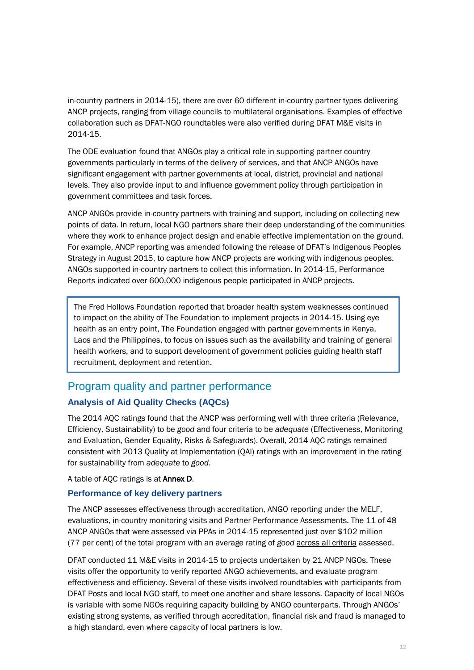in-country partners in 2014-15), there are over 60 different in-country partner types delivering ANCP projects, ranging from village councils to multilateral organisations. Examples of effective collaboration such as DFAT-NGO roundtables were also verified during DFAT M&E visits in 2014-15.

The ODE evaluation found that ANGOs play a critical role in supporting partner country governments particularly in terms of the delivery of services, and that ANCP ANGOs have significant engagement with partner governments at local, district, provincial and national levels. They also provide input to and influence government policy through participation in government committees and task forces.

ANCP ANGOs provide in-country partners with training and support, including on collecting new points of data. In return, local NGO partners share their deep understanding of the communities where they work to enhance project design and enable effective implementation on the ground. For example, ANCP reporting was amended following the release of DFAT's Indigenous Peoples Strategy in August 2015, to capture how ANCP projects are working with indigenous peoples. ANGOs supported in-country partners to collect this information. In 2014-15, Performance Reports indicated over 600,000 indigenous people participated in ANCP projects.

The Fred Hollows Foundation reported that broader health system weaknesses continued to impact on the ability of The Foundation to implement projects in 2014-15. Using eye health as an entry point, The Foundation engaged with partner governments in Kenya, Laos and the Philippines, to focus on issues such as the availability and training of general health workers, and to support development of government policies guiding health staff recruitment, deployment and retention.

### Program quality and partner performance

### **Analysis of Aid Quality Checks (AQCs)**

The 2014 AQC ratings found that the ANCP was performing well with three criteria (Relevance, Efficiency, Sustainability) to be *good* and four criteria to be *adequate* (Effectiveness, Monitoring and Evaluation, Gender Equality, Risks & Safeguards). Overall, 2014 AQC ratings remained consistent with 2013 Quality at Implementation (QAI) ratings with an improvement in the rating for sustainability from *adequate* to *good*.

### A table of AQC ratings is at Annex D.

### **Performance of key delivery partners**

The ANCP assesses effectiveness through accreditation, ANGO reporting under the MELF, evaluations, in-country monitoring visits and Partner Performance Assessments. The 11 of 48 ANCP ANGOs that were assessed via PPAs in 2014-15 represented just over \$102 million (77 per cent) of the total program with an average rating of *good* across all criteria assessed.

DFAT conducted 11 M&E visits in 2014-15 to projects undertaken by 21 ANCP NGOs. These visits offer the opportunity to verify reported ANGO achievements, and evaluate program effectiveness and efficiency. Several of these visits involved roundtables with participants from DFAT Posts and local NGO staff, to meet one another and share lessons. Capacity of local NGOs is variable with some NGOs requiring capacity building by ANGO counterparts. Through ANGOs' existing strong systems, as verified through accreditation, financial risk and fraud is managed to a high standard, even where capacity of local partners is low.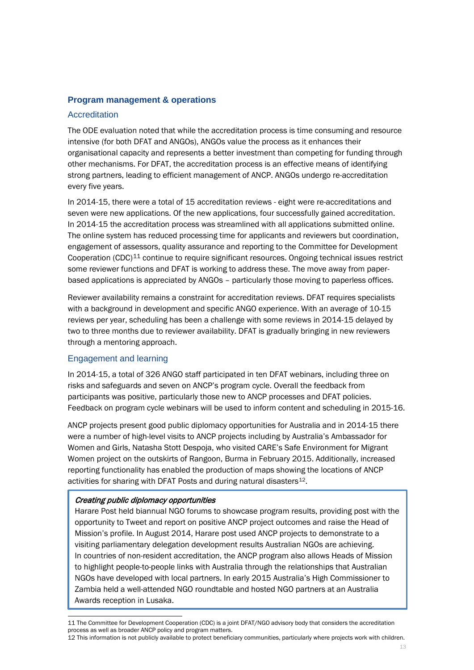### **Program management & operations**

### **Accreditation**

The ODE evaluation noted that while the accreditation process is time consuming and resource intensive (for both DFAT and ANGOs), ANGOs value the process as it enhances their organisational capacity and represents a better investment than competing for funding through other mechanisms. For DFAT, the accreditation process is an effective means of identifying strong partners, leading to efficient management of ANCP. ANGOs undergo re-accreditation every five years.

In 2014-15, there were a total of 15 accreditation reviews - eight were re-accreditations and seven were new applications. Of the new applications, four successfully gained accreditation. In 2014-15 the accreditation process was streamlined with all applications submitted online. The online system has reduced processing time for applicants and reviewers but coordination, engagement of assessors, quality assurance and reporting to the Committee for Development Cooperation (CDC) $11$  continue to require significant resources. Ongoing technical issues restrict some reviewer functions and DFAT is working to address these. The move away from paperbased applications is appreciated by ANGOs – particularly those moving to paperless offices.

Reviewer availability remains a constraint for accreditation reviews. DFAT requires specialists with a background in development and specific ANGO experience. With an average of 10-15 reviews per year, scheduling has been a challenge with some reviews in 2014-15 delayed by two to three months due to reviewer availability. DFAT is gradually bringing in new reviewers through a mentoring approach.

### Engagement and learning

In 2014-15, a total of 326 ANGO staff participated in ten DFAT webinars, including three on risks and safeguards and seven on ANCP's program cycle. Overall the feedback from participants was positive, particularly those new to ANCP processes and DFAT policies. Feedback on program cycle webinars will be used to inform content and scheduling in 2015-16.

ANCP projects present good public diplomacy opportunities for Australia and in 2014-15 there were a number of high-level visits to ANCP projects including by Australia's Ambassador for Women and Girls, Natasha Stott Despoja, who visited CARE's Safe Environment for Migrant Women project on the outskirts of Rangoon, Burma in February 2015. Additionally, increased reporting functionality has enabled the production of maps showing the locations of ANCP activities for sharing with DFAT Posts and during natural disasters<sup>12</sup>.

### Creating public diplomacy opportunities

Harare Post held biannual NGO forums to showcase program results, providing post with the opportunity to Tweet and report on positive ANCP project outcomes and raise the Head of Mission's profile. In August 2014, Harare post used ANCP projects to demonstrate to a visiting parliamentary delegation development results Australian NGOs are achieving. In countries of non-resident accreditation, the ANCP program also allows Heads of Mission to highlight people-to-people links with Australia through the relationships that Australian NGOs have developed with local partners. In early 2015 Australia's High Commissioner to Zambia held a well-attended NGO roundtable and hosted NGO partners at an Australia Awards reception in Lusaka.

<span id="page-12-0"></span><sup>-</sup>11 The Committee for Development Cooperation (CDC) is a joint DFAT/NGO advisory body that considers the accreditation process as well as broader ANCP policy and program matters.

<span id="page-12-1"></span><sup>12</sup> This information is not publicly available to protect beneficiary communities, particularly where projects work with children.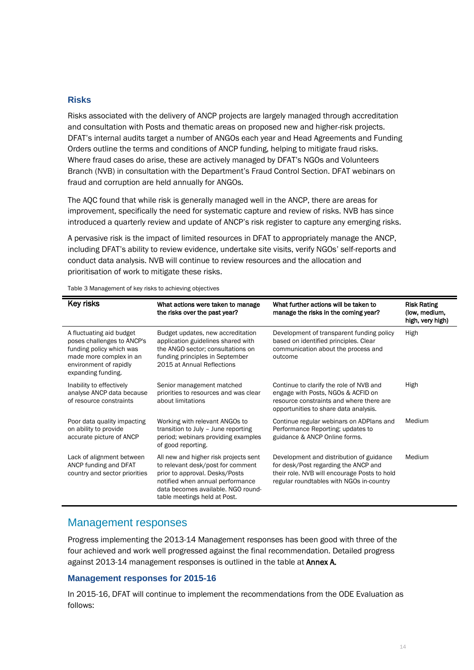### **Risks**

Risks associated with the delivery of ANCP projects are largely managed through accreditation and consultation with Posts and thematic areas on proposed new and higher-risk projects. DFAT's internal audits target a number of ANGOs each year and Head Agreements and Funding Orders outline the terms and conditions of ANCP funding, helping to mitigate fraud risks. Where fraud cases do arise, these are actively managed by DFAT's NGOs and Volunteers Branch (NVB) in consultation with the Department's Fraud Control Section. DFAT webinars on fraud and corruption are held annually for ANGOs.

The AQC found that while risk is generally managed well in the ANCP, there are areas for improvement, specifically the need for systematic capture and review of risks. NVB has since introduced a quarterly review and update of ANCP's risk register to capture any emerging risks.

A pervasive risk is the impact of limited resources in DFAT to appropriately manage the ANCP, including DFAT's ability to review evidence, undertake site visits, verify NGOs' self-reports and conduct data analysis. NVB will continue to review resources and the allocation and prioritisation of work to mitigate these risks.

| <b>Key risks</b>                                                                                                                                              | What actions were taken to manage<br>the risks over the past year?                                                                                                                                                     | What further actions will be taken to<br>manage the risks in the coming year?                                                                                                | <b>Risk Rating</b><br>(low, medium,<br>high, very high) |
|---------------------------------------------------------------------------------------------------------------------------------------------------------------|------------------------------------------------------------------------------------------------------------------------------------------------------------------------------------------------------------------------|------------------------------------------------------------------------------------------------------------------------------------------------------------------------------|---------------------------------------------------------|
| A fluctuating aid budget<br>poses challenges to ANCP's<br>funding policy which was<br>made more complex in an<br>environment of rapidly<br>expanding funding. | Budget updates, new accreditation<br>application guidelines shared with<br>the ANGO sector; consultations on<br>funding principles in September<br>2015 at Annual Reflections                                          | Development of transparent funding policy<br>based on identified principles. Clear<br>communication about the process and<br>outcome                                         | High                                                    |
| Inability to effectively<br>analyse ANCP data because<br>of resource constraints                                                                              | Senior management matched<br>priorities to resources and was clear<br>about limitations                                                                                                                                | Continue to clarify the role of NVB and<br>engage with Posts, NGOs & ACFID on<br>resource constraints and where there are<br>opportunities to share data analysis.           | High                                                    |
| Poor data quality impacting<br>on ability to provide<br>accurate picture of ANCP                                                                              | Working with relevant ANGOs to<br>transition to July - June reporting<br>period; webinars providing examples<br>of good reporting.                                                                                     | Continue regular webinars on ADPlans and<br>Performance Reporting; updates to<br>guidance & ANCP Online forms.                                                               | Medium                                                  |
| Lack of alignment between<br>ANCP funding and DFAT<br>country and sector priorities                                                                           | All new and higher risk projects sent<br>to relevant desk/post for comment<br>prior to approval. Desks/Posts<br>notified when annual performance<br>data becomes available. NGO round-<br>table meetings held at Post. | Development and distribution of guidance<br>for desk/Post regarding the ANCP and<br>their role. NVB will encourage Posts to hold<br>regular roundtables with NGOs in-country | Medium                                                  |

Table 3 Management of key risks to achieving objectives

### Management responses

Progress implementing the 2013-14 Management responses has been good with three of the four achieved and work well progressed against the final recommendation. Detailed progress against 2013-14 management responses is outlined in the table at Annex A.

#### **Management responses for 2015-16**

In 2015-16, DFAT will continue to implement the recommendations from the ODE Evaluation as follows: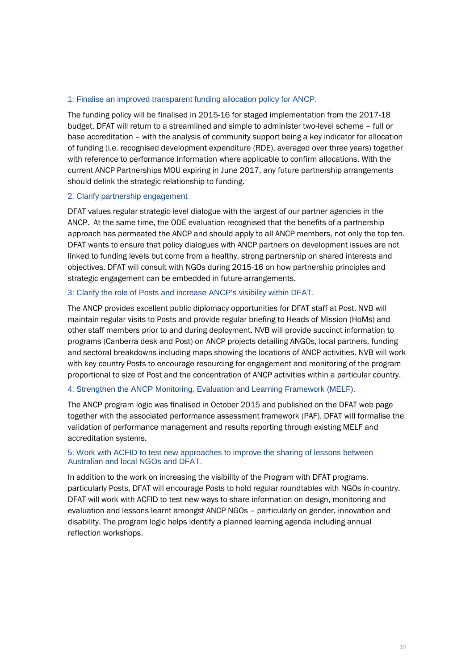#### 1: Finalise an improved transparent funding allocation policy for ANCP.

The funding policy will be finalised in 2015-16 for staged implementation from the 2017-18 budget. DFAT will return to a streamlined and simple to administer two-level scheme – full or base accreditation – with the analysis of community support being a key indicator for allocation of funding (i.e. recognised development expenditure (RDE), averaged over three years) together with reference to performance information where applicable to confirm allocations. With the current ANCP Partnerships MOU expiring in June 2017, any future partnership arrangements should delink the strategic relationship to funding.

#### 2. Clarify partnership engagement

DFAT values regular strategic-level dialogue with the largest of our partner agencies in the ANCP. At the same time, the ODE evaluation recognised that the benefits of a partnership approach has permeated the ANCP and should apply to all ANCP members, not only the top ten. DFAT wants to ensure that policy dialogues with ANCP partners on development issues are not linked to funding levels but come from a healthy, strong partnership on shared interests and objectives. DFAT will consult with NGOs during 2015-16 on how partnership principles and strategic engagement can be embedded in future arrangements.

#### 3: Clarify the role of Posts and increase ANCP's visibility within DFAT.

The ANCP provides excellent public diplomacy opportunities for DFAT staff at Post. NVB will maintain regular visits to Posts and provide regular briefing to Heads of Mission (HoMs) and other staff members prior to and during deployment. NVB will provide succinct information to programs (Canberra desk and Post) on ANCP projects detailing ANGOs, local partners, funding and sectoral breakdowns including maps showing the locations of ANCP activities. NVB will work with key country Posts to encourage resourcing for engagement and monitoring of the program proportional to size of Post and the concentration of ANCP activities within a particular country.

#### 4: Strengthen the ANCP Monitoring, Evaluation and Learning Framework (MELF).

The ANCP program logic was finalised in October 2015 and published on the DFAT web page together with the associated performance assessment framework (PAF). DFAT will formalise the validation of performance management and results reporting through existing MELF and accreditation systems.

### 5: Work with ACFID to test new approaches to improve the sharing of lessons between Australian and local NGOs and DFAT.

In addition to the work on increasing the visibility of the Program with DFAT programs, particularly Posts, DFAT will encourage Posts to hold regular roundtables with NGOs in-country. DFAT will work with ACFID to test new ways to share information on design, monitoring and evaluation and lessons learnt amongst ANCP NGOs – particularly on gender, innovation and disability. The program logic helps identify a planned learning agenda including annual reflection workshops.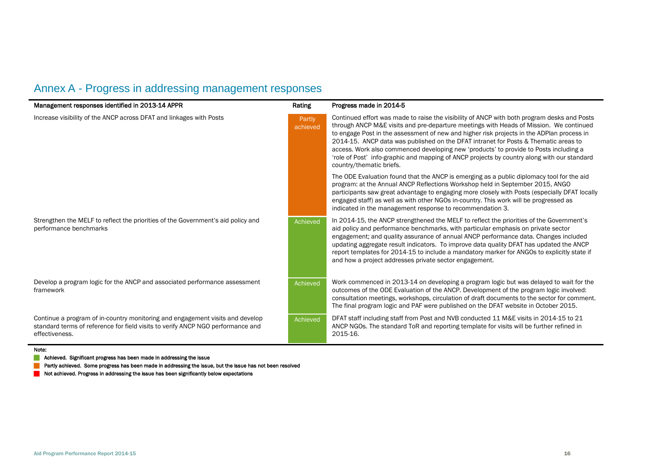## Annex A - Progress in addressing management responses

| Management responses identified in 2013-14 APPR                                                                                                                                    | Rating             | Progress made in 2014-5                                                                                                                                                                                                                                                                                                                                                                                                                                                                                                                                                                       |
|------------------------------------------------------------------------------------------------------------------------------------------------------------------------------------|--------------------|-----------------------------------------------------------------------------------------------------------------------------------------------------------------------------------------------------------------------------------------------------------------------------------------------------------------------------------------------------------------------------------------------------------------------------------------------------------------------------------------------------------------------------------------------------------------------------------------------|
| Increase visibility of the ANCP across DFAT and linkages with Posts                                                                                                                | Partly<br>achieved | Continued effort was made to raise the visibility of ANCP with both program desks and Posts<br>through ANCP M&E visits and pre-departure meetings with Heads of Mission. We continued<br>to engage Post in the assessment of new and higher risk projects in the ADPlan process in<br>2014-15. ANCP data was published on the DFAT intranet for Posts & Thematic areas to<br>access. Work also commenced developing new 'products' to provide to Posts including a<br>'role of Post' info-graphic and mapping of ANCP projects by country along with our standard<br>country/thematic briefs. |
|                                                                                                                                                                                    |                    | The ODE Evaluation found that the ANCP is emerging as a public diplomacy tool for the aid<br>program: at the Annual ANCP Reflections Workshop held in September 2015, ANGO<br>participants saw great advantage to engaging more closely with Posts (especially DFAT locally<br>engaged staff) as well as with other NGOs in-country. This work will be progressed as<br>indicated in the management response to recommendation 3.                                                                                                                                                             |
| Strengthen the MELF to reflect the priorities of the Government's aid policy and<br>performance benchmarks                                                                         | Achieved           | In 2014-15, the ANCP strengthened the MELF to reflect the priorities of the Government's<br>aid policy and performance benchmarks, with particular emphasis on private sector<br>engagement; and quality assurance of annual ANCP performance data. Changes included<br>updating aggregate result indicators. To improve data quality DFAT has updated the ANCP<br>report templates for 2014-15 to include a mandatory marker for ANGOs to explicitly state if<br>and how a project addresses private sector engagement.                                                                      |
| Develop a program logic for the ANCP and associated performance assessment<br>framework                                                                                            | Achieved           | Work commenced in 2013-14 on developing a program logic but was delayed to wait for the<br>outcomes of the ODE Evaluation of the ANCP. Development of the program logic involved:<br>consultation meetings, workshops, circulation of draft documents to the sector for comment.<br>The final program logic and PAF were published on the DFAT website in October 2015.                                                                                                                                                                                                                       |
| Continue a program of in-country monitoring and engagement visits and develop<br>standard terms of reference for field visits to verify ANCP NGO performance and<br>effectiveness. | Achieved           | DFAT staff including staff from Post and NVB conducted 11 M&E visits in 2014-15 to 21<br>ANCP NGOs. The standard ToR and reporting template for visits will be further refined in<br>2015-16.                                                                                                                                                                                                                                                                                                                                                                                                 |

Note:

**Achieved.** Significant progress has been made in addressing the issue

**Partly achieved. Some progress has been made in addressing the issue, but the issue has not been resolved** 

Not achieved. Progress in addressing the issue has been significantly below expectations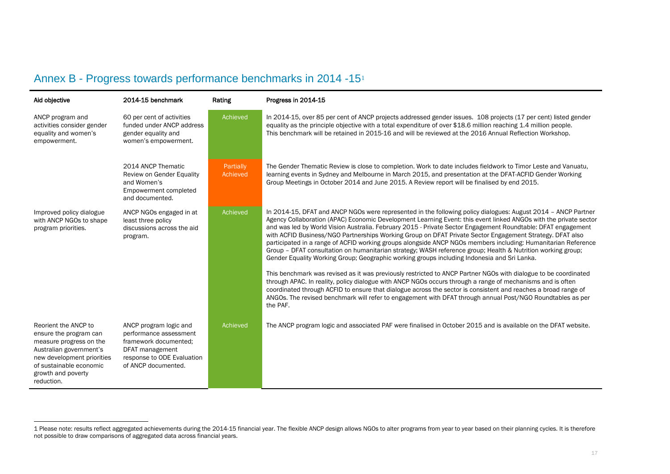<span id="page-16-0"></span>

| Annex B - Progress towards performance benchmarks in 2014 -15 <sup>1</sup> |  |  |  |
|----------------------------------------------------------------------------|--|--|--|
|----------------------------------------------------------------------------|--|--|--|

j

| Aid objective                                                                                                                                                                                     | 2014-15 benchmark                                                                                                                                 | Rating                | Progress in 2014-15                                                                                                                                                                                                                                                                                                                                                                                                                                                                                                                                                                                                                                                                                                                                                                                                                                                                                                                                                                                                                                                                                                                                                                                                                                                       |
|---------------------------------------------------------------------------------------------------------------------------------------------------------------------------------------------------|---------------------------------------------------------------------------------------------------------------------------------------------------|-----------------------|---------------------------------------------------------------------------------------------------------------------------------------------------------------------------------------------------------------------------------------------------------------------------------------------------------------------------------------------------------------------------------------------------------------------------------------------------------------------------------------------------------------------------------------------------------------------------------------------------------------------------------------------------------------------------------------------------------------------------------------------------------------------------------------------------------------------------------------------------------------------------------------------------------------------------------------------------------------------------------------------------------------------------------------------------------------------------------------------------------------------------------------------------------------------------------------------------------------------------------------------------------------------------|
| ANCP program and<br>activities consider gender<br>equality and women's<br>empowerment.                                                                                                            | 60 per cent of activities<br>funded under ANCP address<br>gender equality and<br>women's empowerment.                                             | Achieved              | In 2014-15, over 85 per cent of ANCP projects addressed gender issues. 108 projects (17 per cent) listed gender<br>equality as the principle objective with a total expenditure of over \$18.6 million reaching 1.4 million people.<br>This benchmark will be retained in 2015-16 and will be reviewed at the 2016 Annual Reflection Workshop.                                                                                                                                                                                                                                                                                                                                                                                                                                                                                                                                                                                                                                                                                                                                                                                                                                                                                                                            |
|                                                                                                                                                                                                   | 2014 ANCP Thematic<br>Review on Gender Equality<br>and Women's<br>Empowerment completed<br>and documented.                                        | Partially<br>Achieved | The Gender Thematic Review is close to completion. Work to date includes fieldwork to Timor Leste and Vanuatu,<br>learning events in Sydney and Melbourne in March 2015, and presentation at the DFAT-ACFID Gender Working<br>Group Meetings in October 2014 and June 2015. A Review report will be finalised by end 2015.                                                                                                                                                                                                                                                                                                                                                                                                                                                                                                                                                                                                                                                                                                                                                                                                                                                                                                                                                |
| Improved policy dialogue<br>with ANCP NGOs to shape<br>program priorities.                                                                                                                        | ANCP NGOs engaged in at<br>least three policy<br>discussions across the aid<br>program.                                                           | Achieved              | In 2014-15, DFAT and ANCP NGOs were represented in the following policy dialogues: August 2014 - ANCP Partner<br>Agency Collaboration (APAC) Economic Development Learning Event: this event linked ANGOs with the private sector<br>and was led by World Vision Australia. February 2015 - Private Sector Engagement Roundtable: DFAT engagement<br>with ACFID Business/NGO Partnerships Working Group on DFAT Private Sector Engagement Strategy. DFAT also<br>participated in a range of ACFID working groups alongside ANCP NGOs members including: Humanitarian Reference<br>Group - DFAT consultation on humanitarian strategy; WASH reference group; Health & Nutrition working group;<br>Gender Equality Working Group; Geographic working groups including Indonesia and Sri Lanka.<br>This benchmark was revised as it was previously restricted to ANCP Partner NGOs with dialogue to be coordinated<br>through APAC. In reality, policy dialogue with ANCP NGOs occurs through a range of mechanisms and is often<br>coordinated through ACFID to ensure that dialogue across the sector is consistent and reaches a broad range of<br>ANGOs. The revised benchmark will refer to engagement with DFAT through annual Post/NGO Roundtables as per<br>the PAF. |
| Reorient the ANCP to<br>ensure the program can<br>measure progress on the<br>Australian government's<br>new development priorities<br>of sustainable economic<br>growth and poverty<br>reduction. | ANCP program logic and<br>performance assessment<br>framework documented;<br>DFAT management<br>response to ODE Evaluation<br>of ANCP documented. | Achieved              | The ANCP program logic and associated PAF were finalised in October 2015 and is available on the DFAT website.                                                                                                                                                                                                                                                                                                                                                                                                                                                                                                                                                                                                                                                                                                                                                                                                                                                                                                                                                                                                                                                                                                                                                            |

<sup>1</sup> Please note: results reflect aggregated achievements during the 2014-15 financial year. The flexible ANCP design allows NGOs to alter programs from year to year based on their planning cycles. It is therefore not possible to draw comparisons of aggregated data across financial years.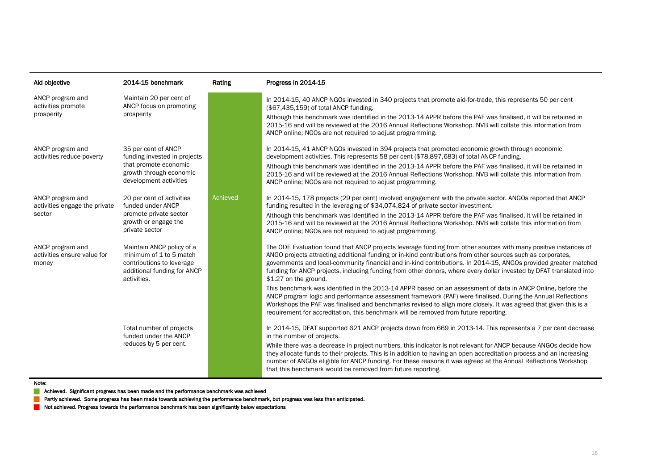| Aid objective                                               | 2014-15 benchmark                                                                                                                 | Rating          | Progress in 2014-15                                                                                                                                                                                                                                                                                                                                                                                                                                                                                                                                                   |
|-------------------------------------------------------------|-----------------------------------------------------------------------------------------------------------------------------------|-----------------|-----------------------------------------------------------------------------------------------------------------------------------------------------------------------------------------------------------------------------------------------------------------------------------------------------------------------------------------------------------------------------------------------------------------------------------------------------------------------------------------------------------------------------------------------------------------------|
| ANCP program and<br>activities promote<br>prosperity        | Maintain 20 per cent of<br>ANCP focus on promoting<br>prosperity                                                                  |                 | In 2014-15, 40 ANCP NGOs invested in 340 projects that promote aid-for-trade, this represents 50 per cent<br>(\$67,435,159) of total ANCP funding.<br>Although this benchmark was identified in the 2013-14 APPR before the PAF was finalised, it will be retained in<br>2015-16 and will be reviewed at the 2016 Annual Reflections Workshop. NVB will collate this information from<br>ANCP online; NGOs are not required to adjust programming.                                                                                                                    |
| ANCP program and<br>activities reduce poverty               | 35 per cent of ANCP<br>funding invested in projects<br>that promote economic<br>growth through economic<br>development activities |                 | In 2014-15, 41 ANCP NGOs invested in 394 projects that promoted economic growth through economic<br>development activities. This represents 58 per cent (\$78,897,683) of total ANCP funding.<br>Although this benchmark was identified in the 2013-14 APPR before the PAF was finalised, it will be retained in<br>2015-16 and will be reviewed at the 2016 Annual Reflections Workshop. NVB will collate this information from<br>ANCP online; NGOs are not required to adjust programming.                                                                         |
| ANCP program and<br>activities engage the private<br>sector | 20 per cent of activities<br>funded under ANCP<br>promote private sector<br>growth or engage the<br>private sector                | <b>Achieved</b> | In 2014-15, 178 projects (29 per cent) involved engagement with the private sector. ANGOs reported that ANCP<br>funding resulted in the leveraging of \$34,074,824 of private sector investment.<br>Although this benchmark was identified in the 2013-14 APPR before the PAF was finalised, it will be retained in<br>2015-16 and will be reviewed at the 2016 Annual Reflections Workshop. NVB will collate this information from<br>ANCP online; NGOs are not required to adjust programming.                                                                      |
| ANCP program and<br>activities ensure value for<br>money    | Maintain ANCP policy of a<br>minimum of 1 to 5 match<br>contributions to leverage<br>additional funding for ANCP<br>activities.   |                 | The ODE Evaluation found that ANCP projects leverage funding from other sources with many positive instances of<br>ANGO projects attracting additional funding or in-kind contributions from other sources such as corporates,<br>governments and local-community financial and in-kind contributions. In 2014-15, ANGOs provided greater matched<br>funding for ANCP projects, including funding from other donors, where every dollar invested by DFAT translated into<br>\$1.27 on the ground.                                                                     |
|                                                             |                                                                                                                                   |                 | This benchmark was identified in the 2013-14 APPR based on an assessment of data in ANCP Online, before the<br>ANCP program logic and performance assessment framework (PAF) were finalised. During the Annual Reflections<br>Workshops the PAF was finalised and benchmarks revised to align more closely. It was agreed that given this is a<br>requirement for accreditation, this benchmark will be removed from future reporting.                                                                                                                                |
|                                                             | Total number of projects<br>funded under the ANCP<br>reduces by 5 per cent.                                                       |                 | In 2014-15, DFAT supported 621 ANCP projects down from 669 in 2013-14. This represents a 7 per cent decrease<br>in the number of projects.<br>While there was a decrease in project numbers, this indicator is not relevant for ANCP because ANGOs decide how<br>they allocate funds to their projects. This is in addition to having an open accreditation process and an increasing<br>number of ANGOs eligible for ANCP funding. For these reasons it was agreed at the Annual Reflections Workshop<br>that this benchmark would be removed from future reporting. |

#### Note:

**Achieved. Significant progress has been made and the performance benchmark was achieved** 

Partly achieved. Some progress has been made towards achieving the performance benchmark, but progress was less than anticipated.

Not achieved. Progress towards the performance benchmark has been significantly below expectations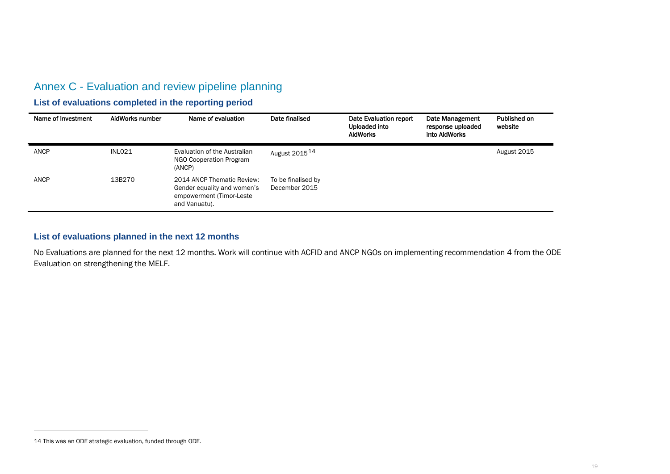### <span id="page-18-0"></span>Annex C - Evaluation and review pipeline planning

### **List of evaluations completed in the reporting period**

| Name of Investment | AidWorks number    | Name of evaluation                                                                                      | Date finalised                      | Date Evaluation report<br>Uploaded into<br><b>AidWorks</b> | Date Management<br>response uploaded<br>into AidWorks | Published on<br>website |
|--------------------|--------------------|---------------------------------------------------------------------------------------------------------|-------------------------------------|------------------------------------------------------------|-------------------------------------------------------|-------------------------|
| ANCP               | INLO <sub>21</sub> | Evaluation of the Australian<br>NGO Cooperation Program<br>(ANCP)                                       | August 2015 <sup>14</sup>           |                                                            |                                                       | August 2015             |
| ANCP               | 13B270             | 2014 ANCP Thematic Review:<br>Gender equality and women's<br>empowerment (Timor-Leste)<br>and Vanuatu). | To be finalised by<br>December 2015 |                                                            |                                                       |                         |

### **List of evaluations planned in the next 12 months**

No Evaluations are planned for the next 12 months. Work will continue with ACFID and ANCP NGOs on implementing recommendation 4 from the ODE Evaluation on strengthening the MELF.

j

<sup>14</sup> This was an ODE strategic evaluation, funded through ODE.